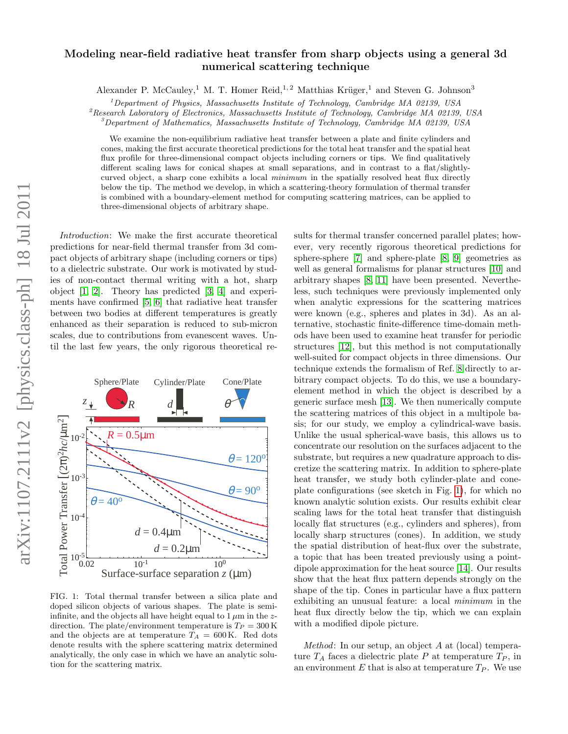## Modeling near-field radiative heat transfer from sharp objects using a general 3d numerical scattering technique

Alexander P. McCauley,<sup>1</sup> M. T. Homer Reid,<sup>1,2</sup> Matthias Krüger,<sup>1</sup> and Steven G. Johnson<sup>3</sup>

 $1$ Department of Physics, Massachusetts Institute of Technology, Cambridge MA 02139, USA

 ${}^{2}$ Research Laboratory of Electronics, Massachusetts Institute of Technology, Cambridge MA 02139, USA

 $\beta$ Department of Mathematics, Massachusetts Institute of Technology, Cambridge MA 02139, USA

We examine the non-equilibrium radiative heat transfer between a plate and finite cylinders and cones, making the first accurate theoretical predictions for the total heat transfer and the spatial heat flux profile for three-dimensional compact objects including corners or tips. We find qualitatively different scaling laws for conical shapes at small separations, and in contrast to a flat/slightlycurved object, a sharp cone exhibits a local *minimum* in the spatially resolved heat flux directly below the tip. The method we develop, in which a scattering-theory formulation of thermal transfer is combined with a boundary-element method for computing scattering matrices, can be applied to three-dimensional objects of arbitrary shape.

Introduction: We make the first accurate theoretical predictions for near-field thermal transfer from 3d compact objects of arbitrary shape (including corners or tips) to a dielectric substrate. Our work is motivated by studies of non-contact thermal writing with a hot, sharp object [\[1,](#page-3-0) [2\]](#page-3-1). Theory has predicted [\[3,](#page-3-2) [4\]](#page-3-3) and experiments have confirmed [\[5,](#page-3-4) [6\]](#page-3-5) that radiative heat transfer between two bodies at different temperatures is greatly enhanced as their separation is reduced to sub-micron scales, due to contributions from evanescent waves. Until the last few years, the only rigorous theoretical re-



<span id="page-0-0"></span>FIG. 1: Total thermal transfer between a silica plate and doped silicon objects of various shapes. The plate is semiinfinite, and the objects all have height equal to  $1 \mu m$  in the zdirection. The plate/environment temperature is  $T_P = 300 \text{ K}$ and the objects are at temperature  $T_A = 600 \text{ K}$ . Red dots denote results with the sphere scattering matrix determined analytically, the only case in which we have an analytic solution for the scattering matrix.

sults for thermal transfer concerned parallel plates; however, very recently rigorous theoretical predictions for sphere-sphere [\[7\]](#page-3-6) and sphere-plate [\[8,](#page-3-7) [9\]](#page-3-8) geometries as well as general formalisms for planar structures [\[10\]](#page-3-9) and arbitrary shapes [\[8,](#page-3-7) [11\]](#page-3-10) have been presented. Nevertheless, such techniques were previously implemented only when analytic expressions for the scattering matrices were known (e.g., spheres and plates in 3d). As an alternative, stochastic finite-difference time-domain methods have been used to examine heat transfer for periodic structures [\[12\]](#page-3-11), but this method is not computationally well-suited for compact objects in three dimensions. Our technique extends the formalism of Ref. [8](#page-3-7) directly to arbitrary compact objects. To do this, we use a boundaryelement method in which the object is described by a generic surface mesh [\[13\]](#page-3-12). We then numerically compute the scattering matrices of this object in a multipole basis; for our study, we employ a cylindrical-wave basis. Unlike the usual spherical-wave basis, this allows us to concentrate our resolution on the surfaces adjacent to the substrate, but requires a new quadrature approach to discretize the scattering matrix. In addition to sphere-plate heat transfer, we study both cylinder-plate and coneplate configurations (see sketch in Fig. [1\)](#page-0-0), for which no known analytic solution exists. Our results exhibit clear scaling laws for the total heat transfer that distinguish locally flat structures (e.g., cylinders and spheres), from locally sharp structures (cones). In addition, we study the spatial distribution of heat-flux over the substrate, a topic that has been treated previously using a pointdipole approximation for the heat source [\[14\]](#page-3-13). Our results show that the heat flux pattern depends strongly on the shape of the tip. Cones in particular have a flux pattern exhibiting an unusual feature: a local minimum in the heat flux directly below the tip, which we can explain with a modified dipole picture.

Method: In our setup, an object A at (local) temperature  $T_A$  faces a dielectric plate P at temperature  $T_P$ , in an environment  $E$  that is also at temperature  $T_P$ . We use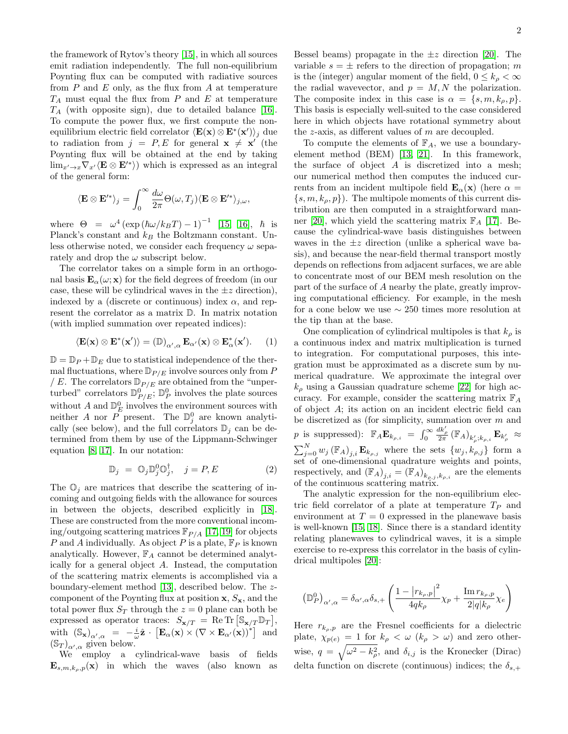the framework of Rytov's theory [\[15\]](#page-3-14), in which all sources emit radiation independently. The full non-equilibrium Poynting flux can be computed with radiative sources from  $P$  and  $E$  only, as the flux from  $A$  at temperature  $T_A$  must equal the flux from  $P$  and  $E$  at temperature  $T_A$  (with opposite sign), due to detailed balance [\[16\]](#page-3-15). To compute the power flux, we first compute the nonequilibrium electric field correlator  $\langle \mathbf{E}(\mathbf{x}) \otimes \mathbf{E}^*(\mathbf{x}') \rangle_j$  due to radiation from  $j = P, E$  for general  $\mathbf{x} \neq \mathbf{x}'$  (the Poynting flux will be obtained at the end by taking  $\lim_{x'\to x} \nabla_{x'} \langle \mathbf{E} \otimes \mathbf{E'}^* \rangle$  which is expressed as an integral of the general form:

$$
\langle \mathbf{E} \otimes \mathbf{E}'^* \rangle_j = \int_0^\infty \frac{d\omega}{2\pi} \Theta(\omega, T_j) \langle \mathbf{E} \otimes \mathbf{E}'^* \rangle_{j,\omega},
$$

where  $\Theta = \omega^4 \left( \exp \left( \hbar \omega / k_B T \right) - 1 \right)^{-1}$  [\[15,](#page-3-14) [16\]](#page-3-15),  $\hbar$  is Planck's constant and  $k_B$  the Boltzmann constant. Unless otherwise noted, we consider each frequency  $\omega$  separately and drop the  $\omega$  subscript below.

The correlator takes on a simple form in an orthogonal basis  $\mathbf{E}_{\alpha}(\omega; \mathbf{x})$  for the field degrees of freedom (in our case, these will be cylindrical waves in the  $\pm z$  direction), indexed by a (discrete or continuous) index  $\alpha$ , and represent the correlator as a matrix D. In matrix notation (with implied summation over repeated indices):

$$
\langle \mathbf{E}(\mathbf{x}) \otimes \mathbf{E}^*(\mathbf{x}') \rangle = (\mathbb{D})_{\alpha',\alpha} \mathbf{E}_{\alpha'}(\mathbf{x}) \otimes \mathbf{E}^*_{\alpha}(\mathbf{x}'). \qquad (1)
$$

 $\mathbb{D} = \mathbb{D}_P + \mathbb{D}_E$  due to statistical independence of the thermal fluctuations, where  $\mathbb{D}_{P/E}$  involve sources only from P / E. The correlators  $\mathbb{D}_{P/E}$  are obtained from the "unperturbed" correlators  $\mathbb{D}_{P/E}^{0}$ ;  $\mathbb{D}_{P}^{0}$  involves the plate sources without  $A$  and  $\mathbb{D}_{E}^{0}$  involves the environment sources with neither A nor P present. The  $\mathbb{D}_{j}^{0}$  are known analytically (see below), and the full correlators  $\mathbb{D}_i$  can be determined from them by use of the Lippmann-Schwinger equation [\[8,](#page-3-7) [17\]](#page-3-16). In our notation:

$$
\mathbb{D}_j = \mathbb{O}_j \mathbb{D}_j^0 \mathbb{O}_j^{\dagger}, \quad j = P, E \tag{2}
$$

The  $\mathbb{O}_j$  are matrices that describe the scattering of incoming and outgoing fields with the allowance for sources in between the objects, described explicitly in [\[18\]](#page-4-0). These are constructed from the more conventional incoming/outgoing scattering matrices  $\mathbb{F}_{P/A}$  [\[17,](#page-3-16) [19\]](#page-4-1) for objects P and A individually. As object P is a plate,  $\mathbb{F}_P$  is known analytically. However,  $\mathbb{F}_A$  cannot be determined analytically for a general object A. Instead, the computation of the scattering matrix elements is accomplished via a boundary-element method [\[13\]](#page-3-12), described below. The zcomponent of the Poynting flux at position  $x, S_x$ , and the total power flux  $S_T$  through the  $z = 0$  plane can both be expressed as operator traces:  $S_{\mathbf{x}/T} = \text{Re Tr} \left[ \mathbb{S}_{\mathbf{x}/T} \mathbb{D}_T \right],$ with  $(\mathbb{S}_{\mathbf{x}})_{\alpha',\alpha} = -\frac{i}{\omega}\hat{\mathbf{z}} \cdot \left[\mathbf{E}_{\alpha}(\mathbf{x}) \times (\nabla \times \mathbf{E}_{\alpha'}(\mathbf{x}))^*\right]$  and  $(\mathbb{S}_T)_{\alpha',\alpha}$  given below.

We employ a cylindrical-wave basis of fields  $\mathbf{E}_{s,m,k_o,p}(\mathbf{x})$  in which the waves (also known as

Bessel beams) propagate in the  $\pm z$  direction [\[20\]](#page-4-2). The variable  $s = \pm$  refers to the direction of propagation; m is the (integer) angular moment of the field,  $0 \leq k_{\rho} < \infty$ the radial wavevector, and  $p = M, N$  the polarization. The composite index in this case is  $\alpha = \{s, m, k_o, p\}.$ This basis is especially well-suited to the case considered here in which objects have rotational symmetry about the  $z$ -axis, as different values of  $m$  are decoupled.

To compute the elements of  $\mathbb{F}_A$ , we use a boundaryelement method (BEM) [\[13,](#page-3-12) [21\]](#page-4-3). In this framework, the surface of object A is discretized into a mesh; our numerical method then computes the induced currents from an incident multipole field  $\mathbf{E}_{\alpha}(\mathbf{x})$  (here  $\alpha =$  $\{s, m, k_{\rho}, p\}$ . The multipole moments of this current distribution are then computed in a straightforward man-ner [\[20\]](#page-4-2), which yield the scattering matrix  $\mathbb{F}_A$  [\[17\]](#page-3-16). Because the cylindrical-wave basis distinguishes between waves in the  $\pm z$  direction (unlike a spherical wave basis), and because the near-field thermal transport mostly depends on reflections from adjacent surfaces, we are able to concentrate most of our BEM mesh resolution on the part of the surface of A nearby the plate, greatly improving computational efficiency. For example, in the mesh for a cone below we use ∼ 250 times more resolution at the tip than at the base.

One complication of cylindrical multipoles is that  $k_{\rho}$  is a continuous index and matrix multiplication is turned to integration. For computational purposes, this integration must be approximated as a discrete sum by numerical quadrature. We approximate the integral over  $k_{\rho}$  using a Gaussian quadrature scheme [\[22\]](#page-4-4) for high accuracy. For example, consider the scattering matrix  $\mathbb{F}_A$ of object A; its action on an incident electric field can be discretized as (for simplicity, summation over  $m$  and p is suppressed):  $\mathbb{F}_A \mathbf{E}_{k_{\rho,i}} = \int_0^\infty$  $\frac{dk_{\rho}'}{2\pi}\left(\mathbb{F}_{A}\right)_{k_{\rho}';k_{\rho,i}}\mathbf{E}_{k_{\rho}'} \; \approx$  $\sum_{j=0}^{N} w_j \left(\mathbb{F}_A\right)_{j,i} \mathbf{E}_{k_{\rho,j}}$  where the sets  $\{w_j, k_{\rho,j}\}\$ form a set of one-dimensional quadrature weights and points, respectively, and  $(\mathbb{F}_A)_{j,i} = (\mathbb{F}_A)_{k_{\rho,j},k_{\rho,i}}$  are the elements of the continuous scattering matrix.

The analytic expression for the non-equilibrium electric field correlator of a plate at temperature  $T_P$  and environment at  $T = 0$  expressed in the planewave basis is well-known [\[15,](#page-3-14) [18\]](#page-4-0). Since there is a standard identity relating planewaves to cylindrical waves, it is a simple exercise to re-express this correlator in the basis of cylindrical multipoles [\[20\]](#page-4-2):

$$
\left(\mathbb{D}_{P}^{0}\right)_{\alpha',\alpha} = \delta_{\alpha',\alpha}\delta_{s,+}\left(\frac{1-\left|r_{k_{\rho},p}\right|^{2}}{4qk_{\rho}}\chi_{p} + \frac{\text{Im}\,r_{k_{\rho},p}}{2|q|k_{\rho}}\chi_{e}\right)
$$

Here  $r_{k_o,p}$  are the Fresnel coefficients for a dielectric plate,  $\chi_{p(e)} = 1$  for  $k_{\rho} < \omega$  ( $k_{\rho} > \omega$ ) and zero otherwise,  $q = \sqrt{\omega^2 - k_{\rho}^2}$ , and  $\delta_{i,j}$  is the Kronecker (Dirac) delta function on discrete (continuous) indices; the  $\delta_{s,+}$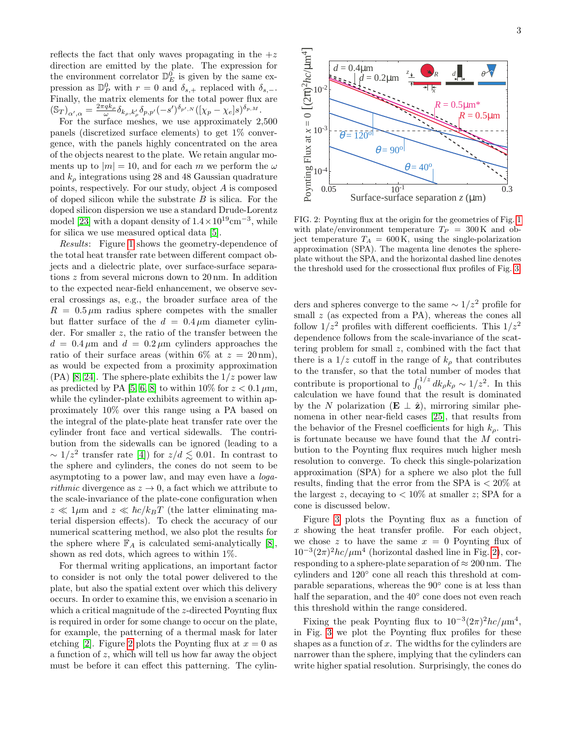reflects the fact that only waves propagating in the  $+z$ direction are emitted by the plate. The expression for the environment correlator  $\mathbb{D}_{E}^{0}$  is given by the same expression as  $\mathbb{D}_{P}^{0}$  with  $r = 0$  and  $\delta_{s,+}$  replaced with  $\delta_{s,-}$ . Finally, the matrix elements for the total power flux are  $(\mathbb{S}_T)_{\alpha',\alpha} = \frac{2\pi q k_\rho}{\omega} \delta_{k_\rho,k'_\rho} \delta_{p,p'} (-s')^{\delta_{p',N}} ([\chi_p - \chi_e] s)^{\delta_{p,M}}.$ 

For the surface meshes, we use approximately 2,500 panels (discretized surface elements) to get 1% convergence, with the panels highly concentrated on the area of the objects nearest to the plate. We retain angular moments up to  $|m| = 10$ , and for each m we perform the  $\omega$ and  $k_{\rho}$  integrations using 28 and 48 Gaussian quadrature points, respectively. For our study, object A is composed of doped silicon while the substrate  $B$  is silica. For the doped silicon dispersion we use a standard Drude-Lorentz model [\[23\]](#page-4-5) with a dopant density of  $1.4 \times 10^{19}$  cm<sup>-3</sup>, while for silica we use measured optical data [\[5\]](#page-3-4).

Results: Figure [1](#page-0-0) shows the geometry-dependence of the total heat transfer rate between different compact objects and a dielectric plate, over surface-surface separations z from several microns down to 20 nm. In addition to the expected near-field enhancement, we observe several crossings as, e.g., the broader surface area of the  $R = 0.5 \,\mu\text{m}$  radius sphere competes with the smaller but flatter surface of the  $d = 0.4 \mu m$  diameter cylinder. For smaller z, the ratio of the transfer between the  $d = 0.4 \,\mu\text{m}$  and  $d = 0.2 \,\mu\text{m}$  cylinders approaches the ratio of their surface areas (within 6\% at  $z = 20 \text{ nm}$ ), as would be expected from a proximity approximation  $(PA)$  [\[8,](#page-3-7) [24\]](#page-4-6). The sphere-plate exhibits the  $1/z$  power law as predicted by PA [\[5,](#page-3-4) [6,](#page-3-5) [8\]](#page-3-7) to within 10% for  $z < 0.1 \,\mu\text{m}$ , while the cylinder-plate exhibits agreement to within approximately 10% over this range using a PA based on the integral of the plate-plate heat transfer rate over the cylinder front face and vertical sidewalls. The contribution from the sidewalls can be ignored (leading to a  $\sim 1/z^2$  transfer rate [\[4\]](#page-3-3)) for  $z/d \lesssim 0.01$ . In contrast to the sphere and cylinders, the cones do not seem to be asymptoting to a power law, and may even have a loga*rithmic* divergence as  $z \to 0$ , a fact which we attribute to the scale-invariance of the plate-cone configuration when  $z \ll 1 \mu m$  and  $z \ll \hbar c / k_B T$  (the latter eliminating material dispersion effects). To check the accuracy of our numerical scattering method, we also plot the results for the sphere where  $\mathbb{F}_A$  is calculated semi-analytically [\[8\]](#page-3-7), shown as red dots, which agrees to within 1%.

For thermal writing applications, an important factor to consider is not only the total power delivered to the plate, but also the spatial extent over which this delivery occurs. In order to examine this, we envision a scenario in which a critical magnitude of the *z*-directed Poynting flux is required in order for some change to occur on the plate, for example, the patterning of a thermal mask for later etching [\[2\]](#page-3-1). Figure [2](#page-2-0) plots the Poynting flux at  $x = 0$  as a function of z, which will tell us how far away the object must be before it can effect this patterning. The cylin3



<span id="page-2-0"></span>FIG. 2: Poynting flux at the origin for the geometries of Fig. [1](#page-0-0) with plate/environment temperature  $T_P = 300 \text{ K}$  and object temperature  $T_A = 600 \text{ K}$ , using the single-polarization approximation (SPA). The magenta line denotes the sphereplate without the SPA, and the horizontal dashed line denotes the threshold used for the crossectional flux profiles of Fig. [3.](#page-3-17)

ders and spheres converge to the same  $\sim 1/z^2$  profile for small  $z$  (as expected from a PA), whereas the cones all follow  $1/z^2$  profiles with different coefficients. This  $1/z^2$ dependence follows from the scale-invariance of the scattering problem for small z, combined with the fact that there is a  $1/z$  cutoff in the range of  $k_{\rho}$  that contributes to the transfer, so that the total number of modes that contribute is proportional to  $\int_0^{1/z} dk_\rho k_\rho \sim 1/z^2$ . In this calculation we have found that the result is dominated by the N polarization (**E**  $\perp$   $\hat{\mathbf{z}}$ ), mirroring similar phenomena in other near-field cases [\[25\]](#page-4-7), that results from the behavior of the Fresnel coefficients for high  $k_{\rho}$ . This is fortunate because we have found that the M contribution to the Poynting flux requires much higher mesh resolution to converge. To check this single-polarization approximation (SPA) for a sphere we also plot the full results, finding that the error from the SPA is < 20% at the largest z, decaying to  $\langle 10\% \text{ at smaller } z \rangle$ ; SPA for a cone is discussed below.

Figure [3](#page-3-17) plots the Poynting flux as a function of  $x$  showing the heat transfer profile. For each object, we chose z to have the same  $x = 0$  Poynting flux of  $10^{-3}(2\pi)^2 hc/\mu m^4$  (horizontal dashed line in Fig. [2\)](#page-2-0), corresponding to a sphere-plate separation of  $\approx 200$  nm. The cylinders and  $120^{\circ}$  cone all reach this threshold at comparable separations, whereas the 90◦ cone is at less than half the separation, and the 40° cone does not even reach this threshold within the range considered.

Fixing the peak Poynting flux to  $10^{-3}(2\pi)^2 hc/\mu m^4$ , in Fig. [3](#page-3-17) we plot the Poynting flux profiles for these shapes as a function of  $x$ . The widths for the cylinders are narrower than the sphere, implying that the cylinders can write higher spatial resolution. Surprisingly, the cones do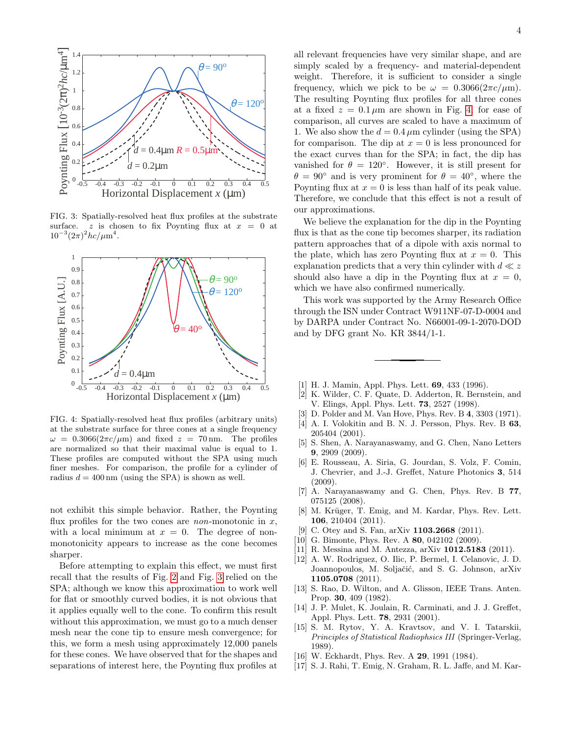

<span id="page-3-17"></span>FIG. 3: Spatially-resolved heat flux profiles at the substrate surface. z is chosen to fix Poynting flux at  $x = 0$  at  $10^{-3}(2\pi)^2 hc/\mu m^4$ .



<span id="page-3-18"></span>FIG. 4: Spatially-resolved heat flux profiles (arbitrary units) at the substrate surface for three cones at a single frequency  $\omega = 0.3066(2\pi c/\mu m)$  and fixed  $z = 70$  nm. The profiles are normalized so that their maximal value is equal to 1. These profiles are computed without the SPA using much finer meshes. For comparison, the profile for a cylinder of radius  $d = 400 \text{ nm}$  (using the SPA) is shown as well.

not exhibit this simple behavior. Rather, the Poynting flux profiles for the two cones are *non*-monotonic in  $x$ , with a local minimum at  $x = 0$ . The degree of nonmonotonicity appears to increase as the cone becomes sharper.

Before attempting to explain this effect, we must first recall that the results of Fig. [2](#page-2-0) and Fig. [3](#page-3-17) relied on the SPA; although we know this approximation to work well for flat or smoothly curved bodies, it is not obvious that it applies equally well to the cone. To confirm this result without this approximation, we must go to a much denser mesh near the cone tip to ensure mesh convergence; for this, we form a mesh using approximately 12,000 panels for these cones. We have observed that for the shapes and separations of interest here, the Poynting flux profiles at all relevant frequencies have very similar shape, and are simply scaled by a frequency- and material-dependent weight. Therefore, it is sufficient to consider a single frequency, which we pick to be  $\omega = 0.3066(2\pi c/\mu m)$ . The resulting Poynting flux profiles for all three cones at a fixed  $z = 0.1 \mu m$  are shown in Fig. [4;](#page-3-18) for ease of comparison, all curves are scaled to have a maximum of 1. We also show the  $d = 0.4 \mu m$  cylinder (using the SPA) for comparison. The dip at  $x = 0$  is less pronounced for the exact curves than for the SPA; in fact, the dip has vanished for  $\theta = 120^{\circ}$ . However, it is still present for  $\theta = 90^{\circ}$  and is very prominent for  $\theta = 40^{\circ}$ , where the Poynting flux at  $x = 0$  is less than half of its peak value. Therefore, we conclude that this effect is not a result of our approximations.

We believe the explanation for the dip in the Poynting flux is that as the cone tip becomes sharper, its radiation pattern approaches that of a dipole with axis normal to the plate, which has zero Poynting flux at  $x = 0$ . This explanation predicts that a very thin cylinder with  $d \ll z$ should also have a dip in the Poynting flux at  $x = 0$ , which we have also confirmed numerically.

This work was supported by the Army Research Office through the ISN under Contract W911NF-07-D-0004 and by DARPA under Contract No. N66001-09-1-2070-DOD and by DFG grant No. KR 3844/1-1.

- <span id="page-3-0"></span>[1] H. J. Mamin, Appl. Phys. Lett. 69, 433 (1996).
- <span id="page-3-1"></span>[2] K. Wilder, C. F. Quate, D. Adderton, R. Bernstein, and V. Elings, Appl. Phys. Lett. 73, 2527 (1998).
- <span id="page-3-2"></span>[3] D. Polder and M. Van Hove, Phys. Rev. B 4, 3303 (1971).
- <span id="page-3-3"></span>[4] A. I. Volokitin and B. N. J. Persson, Phys. Rev. B 63, 205404 (2001).
- <span id="page-3-4"></span>[5] S. Shen, A. Narayanaswamy, and G. Chen, Nano Letters 9, 2909 (2009).
- <span id="page-3-5"></span>[6] E. Rousseau, A. Siria, G. Jourdan, S. Volz, F. Comin, J. Chevrier, and J.-J. Greffet, Nature Photonics 3, 514 (2009).
- <span id="page-3-6"></span>[7] A. Narayanaswamy and G. Chen, Phys. Rev. B 77, 075125 (2008).
- <span id="page-3-7"></span>[8] M. Krüger, T. Emig, and M. Kardar, Phys. Rev. Lett. 106, 210404 (2011).
- <span id="page-3-8"></span>[9] C. Otey and S. Fan, arXiv **1103.2668** (2011).
- <span id="page-3-9"></span>[10] G. Bimonte, Phys. Rev. A **80**, 042102 (2009).
- <span id="page-3-10"></span>[11] R. Messina and M. Antezza, arXiv 1012.5183 (2011).
- <span id="page-3-11"></span>[12] A. W. Rodriguez, O. Ilic, P. Bermel, I. Celanovic, J. D. Joannopoulos, M. Soljačić, and S. G. Johnson, arXiv 1105.0708 (2011).
- <span id="page-3-12"></span>[13] S. Rao, D. Wilton, and A. Glisson, IEEE Trans. Anten. Prop. 30, 409 (1982).
- <span id="page-3-13"></span>[14] J. P. Mulet, K. Joulain, R. Carminati, and J. J. Greffet, Appl. Phys. Lett. 78, 2931 (2001).
- <span id="page-3-14"></span>[15] S. M. Rytov, Y. A. Kravtsov, and V. I. Tatarskii, Principles of Statistical Radiophsics III (Springer-Verlag, 1989).
- <span id="page-3-15"></span>[16] W. Eckhardt, Phys. Rev. A **29**, 1991 (1984).
- <span id="page-3-16"></span>[17] S. J. Rahi, T. Emig, N. Graham, R. L. Jaffe, and M. Kar-